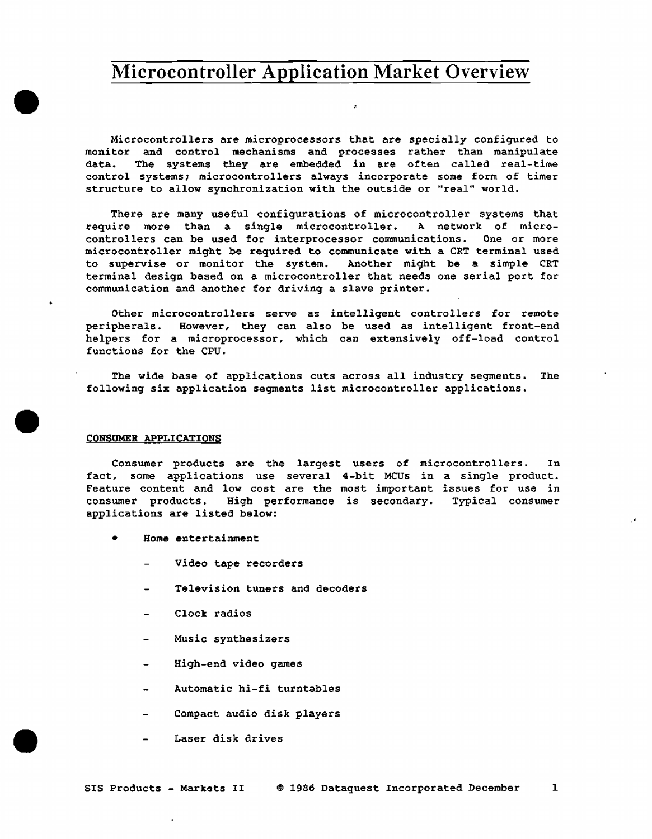Microcontrollers are microprocessors that are specially configured to monitor and control mechanisms and processes rather than manipulate data. The systems they are embedded in are often called real-time control systems; microcontrollers always incorporate some form of timer structure to allow synchronization with the outside or "real" world.

There are many useful configurations of microcontroller systems that require more than a single microcontroller. A network of microcontrollers can be used for interprocessor communications. One or more microcontroller might be required to communicate with a CRT terminal used to supervise or monitor the system. Another mi9ht be a simple CRT terminal design based on a microcontroller that needs one serial port for communication and another for driving a slave printer.

Other microcontrollers serve as intelligent controllers for remote peripherals. However, they can also be used as intelligent front-end helpers for a microprocessor, which can extensively off-load control functions for the CPU.

The wide base of applications cuts across all industry segments. The following six application segments list microcontroller applications •

#### CONSUMER APPLICATIONS

•

•

•

Consumer products are the largest users of microcontrollers. In fact, some applications use several 4-bit MCUs in a single product. Feature content and low cost are the most important issues for use in consumer products, High performance is secondary. Typical consumer applications are listed below:

.•

- Home entertainment
	- Video tape recorders
	- Television tuners and decoders
	- Clock radios
	- Music synthesizers
	- High-end video games
	- Automatic hi-fi turntables
	- Compact audio disk players
	- Laser disk drives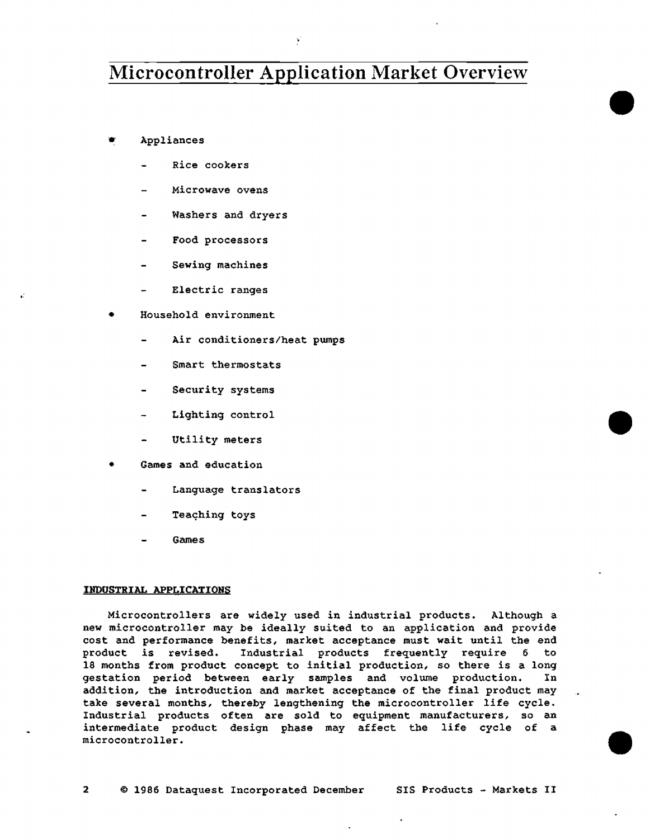•

•

•

...

• Appliances

,;

- Rice cookers
- Microwave ovens
- Washers and dryers
- Food processors
- Sewing machines
- Electric ranges
- Household environment
	- Air conditioners/heat pumps
	- Smart thermostats
	- Security systems
	- Lighting control
	- Utility meters
- Games and education
	- Language translators
	- Teaching toys
	- Games

#### INDUSTRIAL APPLICATIONS

Microcontrollers are widely used in industrial products. Although a new microcontroller may be ideally suited to an application and provide cost and performance benefits, market acceptance must wait until the end product is revised. Industrial products frequently require 6 to 18 months from product concept to initial production, so there is a long gestation period between early samples and volume production. In gestation period between early samples and volume production. addition, the introduction and market acceptance of the final product may take several months, thereby lengthening the microcontroller life cycle. Industrial products often are sold to equipment manufacturers, so an intermediate product design phase may affect the life cycle of a microcontroller.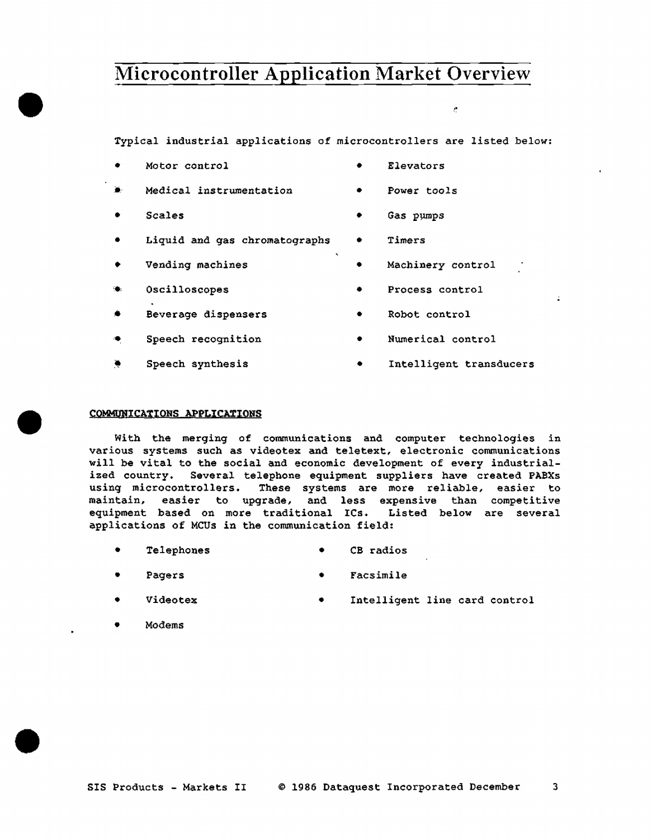Typical industrial applications of microcontrollers are listed below:

- Motor control Elevators
- Medical instrumentation Power tools
- 

•

•

•

- Liquid and gas chromatographs Timers
- 
- У.
- -• Beverage dispensers Robot control
- 
- 
- -
- Scales Gas pµmps
	-
- Vending machines Machinery control
	- Oscilloscopes Process control
		-
	- Speech recognition Numerical control
	- Speech synthesis Intelligent transducers

### CQMMUNICAXIONS APPLICATIONS

With the merging of communications and computer technologies in various systems such as videotex and teletext, electronic communications will be vital to the social and economic development of every industrialized country. Several telephone equipment suppliers have created PABXs<br>using microcontrollers. These systems are more reliable, easier to These systems are more reliable, easier to maintain, easier to upgrade, and less expensive than competitive equipment based on more traditional ICs. Listed below are several applications of MCUs in the communication field:

- Telephones CB radios
- Pagers Facsimile
- Videotex Intelligent line card control
- Modems

# ..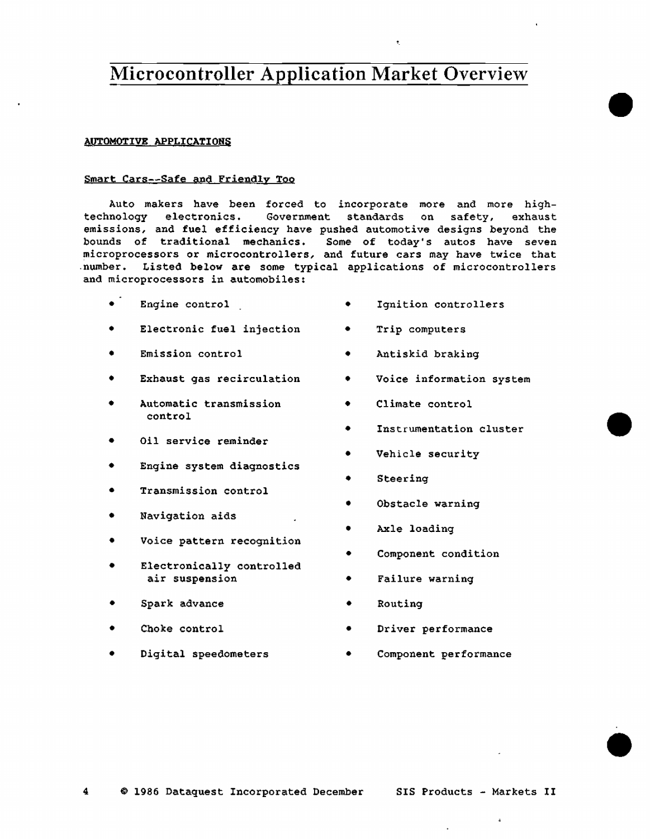### AUTOMOTIVE APPLICATIONS

### Smart Cars--Safe and Friendly Too

Auto makers have been forced to incorporate more and more hightechnology electronics. Government standards on safety, exhaust emissions, and fuel efficiency have pushed automotive designs beyond the bounds of traditional mechanics. Some of today's autos have seven microprocessors or microcontrollers, and future cars may have twice that .number. Listed below are some typical applications of microcontrollers and microprocessors in automobiles:

- Engine control
- Electronic fuel injection
- Emission control
- Exhaust gas recirculation
- Automatic transmission control
- Oil service reminder
- Engine system diagnostics
- Transmission control
- Navigation aids
- Voice pattern recognition
- Electronically controlled air suspension
- Spark advance
- Choke control
- Digital speedometers

• Ignition controllers

•

•

•

- Trip computers
- Antiskid braking
- Voice information system
- Climate control
- Instrumentation cluster
- Vehicle security
- Steering
- Obstacle warning
- Axle loading
- Component condition
- Failure warning
- Routing
- Driver performance
- Component performance

 $\ddot{a}$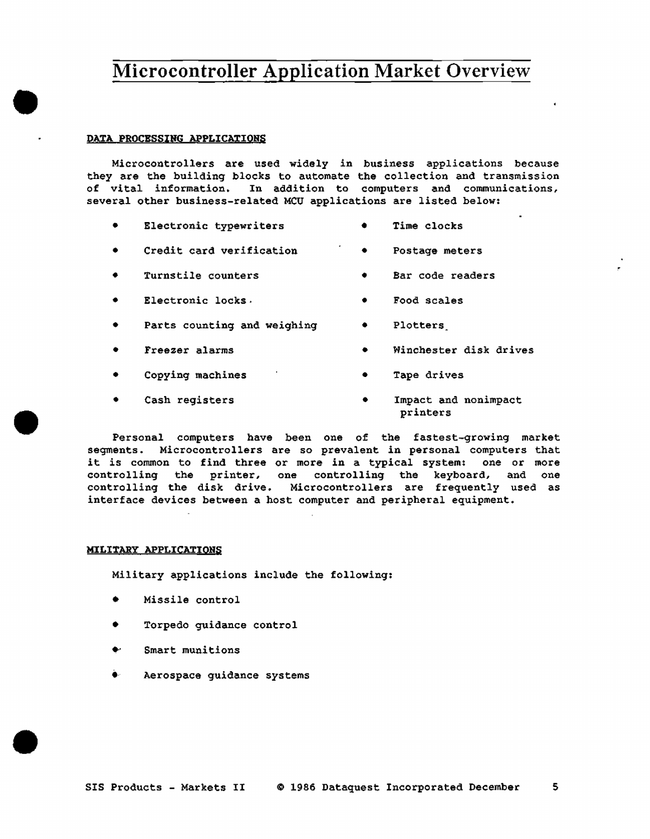### DATA PROCESSING APPLICATIONS

 $\bullet$ 

•

•

Microcontrollers are used widely in business applications because they are the building blocks to automate the collection and transmission of vital information. In addition to computers and communications, several other business-related MCU applications are listed below:

- Electronic typewriters • Time clocks
- Credit card verification • Postage meters
- Turnstile counters • Bar code readers
- Electronic locks. • Food scales
- Parts counting and weighing • Plotters
- Freezer alarms • Winchester disk drives
- Copying machines • Tape drives
- Cash registers • Impact and nonimpact printers

Personal computers have been one of the fastest-growing market segments. Microcontrollers are so prevalent in personal computers that it is common to find three or more in a typical system: one or more controlling the printer, one controlling the keyboard, and one controlling the disk drive. Microcontrollers are frequently used as interface devices between a host computer and peripheral equipment.

### MILITARY APPLICATIONS

Military applications include the following:

- Missile control
- Torpedo guidance control
- •· Smart munitions
- Aerospace guidance systems